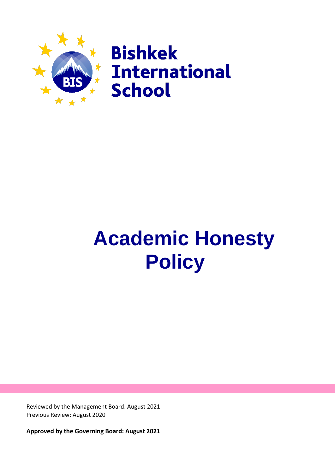

# **Academic Honesty Policy**

Reviewed by the Management Board: August 2021 Previous Review: August 2020

**Approved by the Governing Board: August 2021**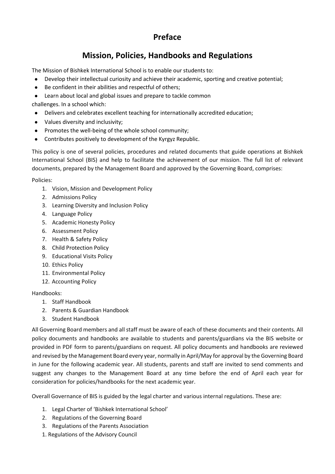# **Preface**

# **Mission, Policies, Handbooks and Regulations**

The Mission of Bishkek International School is to enable our students to:

- Develop their intellectual curiosity and achieve their academic, sporting and creative potential;
- Be confident in their abilities and respectful of others;
- Learn about local and global issues and prepare to tackle common

challenges. In a school which:

- Delivers and celebrates excellent teaching for internationally accredited education;
- Values diversity and inclusivity;
- Promotes the well-being of the whole school community;
- Contributes positively to development of the Kyrgyz Republic.

This policy is one of several policies, procedures and related documents that guide operations at Bishkek International School (BIS) and help to facilitate the achievement of our mission. The full list of relevant documents, prepared by the Management Board and approved by the Governing Board, comprises:

Policies:

- 1. Vision, Mission and Development Policy
- 2. Admissions Policy
- 3. Learning Diversity and Inclusion Policy
- 4. Language Policy
- 5. Academic Honesty Policy
- 6. Assessment Policy
- 7. Health & Safety Policy
- 8. Child Protection Policy
- 9. Educational Visits Policy
- 10. Ethics Policy
- 11. Environmental Policy
- 12. Accounting Policy

#### Handbooks:

- 1. Staff Handbook
- 2. Parents & Guardian Handbook
- 3. Student Handbook

All Governing Board members and all staff must be aware of each of these documents and their contents. All policy documents and handbooks are available to students and parents/guardians via the BIS website or provided in PDF form to parents/guardians on request. All policy documents and handbooks are reviewed and revised by the Management Board every year, normally in April/May for approval by the Governing Board in June for the following academic year. All students, parents and staff are invited to send comments and suggest any changes to the Management Board at any time before the end of April each year for consideration for policies/handbooks for the next academic year.

Overall Governance of BIS is guided by the legal charter and various internal regulations. These are:

- 1. Legal Charter of 'Bishkek International School'
- 2. Regulations of the Governing Board
- 3. Regulations of the Parents Association
- 1. Regulations of the Advisory Council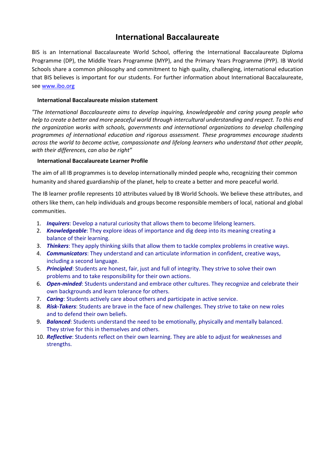# **International Baccalaureate**

BIS is an International Baccalaureate World School, offering the International Baccalaureate Diploma Programme (DP), the Middle Years Programme (MYP), and the Primary Years Programme (PYP). IB World Schools share a common philosophy and commitment to high quality, challenging, international education that BIS believes is important for our students. For further information about International Baccalaureate, see [www.ibo.org](http://www.ibo.org/)

#### **International Baccalaureate mission statement**

*"The International Baccalaureate aims to develop inquiring, knowledgeable and caring young people who help to create a better and more peaceful world through intercultural understanding and respect. To this end the organization works with schools, governments and international organizations to develop challenging programmes of international education and rigorous assessment. These programmes encourage students across the world to become active, compassionate and lifelong learners who understand that other people, with their differences, can also be right"*

#### **International Baccalaureate Learner Profile**

The aim of all IB programmes is to develop internationally minded people who, recognizing their common humanity and shared guardianship of the planet, help to create a better and more peaceful world.

The IB learner profile represents 10 attributes valued by IB World Schools. We believe these attributes, and others like them, can help individuals and groups become responsible members of local, national and global communities.

- 1. *Inquirers*: Develop a natural curiosity that allows them to become lifelong learners.
- 2. *Knowledgeable*: They explore ideas of importance and dig deep into its meaning creating a balance of their learning.
- 3. *Thinkers*: They apply thinking skills that allow them to tackle complex problems in creative ways.
- 4. *Communicators*: They understand and can articulate information in confident, creative ways, including a second language.
- 5. *Principled*: Students are honest, fair, just and full of integrity. They strive to solve their own problems and to take responsibility for their own actions.
- 6. *Open-minded*: Students understand and embrace other cultures. They recognize and celebrate their own backgrounds and learn tolerance for others.
- 7. *Caring*: Students actively care about others and participate in active service.
- 8. *Risk-Takers*: Students are brave in the face of new challenges. They strive to take on new roles and to defend their own beliefs.
- 9. *Balanced*: Students understand the need to be emotionally, physically and mentally balanced. They strive for this in themselves and others.
- 10. *Reflective*: Students reflect on their own learning. They are able to adjust for weaknesses and strengths.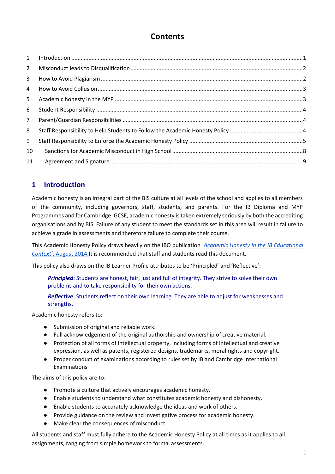# **Contents**

| $\label{eq:1} \mbox{Introduction} \,\, \ldots \,\, \ldots \,\, \ldots \,\, \ldots \,\, \ldots \,\, \ldots \,\, \ldots \,\, \ldots \,\, \ldots \,\, \ldots \,\, \ldots \,\, \ldots \,\, \ldots \,\, \ldots \,\, \ldots \,\, \ldots \,\, \ldots \,\, \ldots \,\, \ldots \,\, \ldots \,\, \ldots \,\, \ldots \,\, \ldots \,\, \ldots \,\, \ldots \,\, \ldots \,\, \ldots \,\, \ldots \,\, \ldots \,\, \ldots \,\, \ldots \,\, \ldots \,\, \ldots \,\, \ldots \,\,$ |
|-----------------------------------------------------------------------------------------------------------------------------------------------------------------------------------------------------------------------------------------------------------------------------------------------------------------------------------------------------------------------------------------------------------------------------------------------------------------|

## <span id="page-3-0"></span>**1 Introduction**

Academic honesty is an integral part of the BIS culture at all levels of the school and applies to all members of the community, including governors, staff, students, and parents. For the IB Diploma and MYP Programmes and for Cambridge IGCSE, academic honesty is taken extremely seriously by both the accrediting organisations and by BIS. Failure of any student to meet the standards set in this area will result in failure to achieve a grade in assessments and therefore failure to complete their course.

This Academic Honesty Policy draws heavily on the IBO publication ['](https://www.ibo.org/globalassets/digital-toolkit/brochures/academic-honesty-ib-en.pdf)*[Academic Honesty in the IB Educational](https://www.ibo.org/globalassets/digital-toolkit/brochures/academic-honesty-ib-en.pdf)  [Context'](https://www.ibo.org/globalassets/digital-toolkit/brochures/academic-honesty-ib-en.pdf)*[, August 2014.](https://www.ibo.org/globalassets/digital-toolkit/brochures/academic-honesty-ib-en.pdf)It is recommended that staff and students read this document.

This policy also draws on the IB Learner Profile attributes to be 'Principled' and 'Reflective':

*Principled*: Students are honest, fair, just and full of integrity. They strive to solve their own problems and to take responsibility for their own actions.

*Reflective*: Students reflect on their own learning. They are able to adjust for weaknesses and strengths.

Academic honesty refers to:

- Submission of original and reliable work.
- Full acknowledgement of the original authorship and ownership of creative material.
- Protection of all forms of intellectual property, including forms of intellectual and creative expression, as well as patents, registered designs, trademarks, moral rights and copyright.
- Proper conduct of examinations according to rules set by IB and Cambridge International Examinations

The aims of this policy are to:

- Promote a culture that actively encourages academic honesty.
- Enable students to understand what constitutes academic honesty and dishonesty.
- Enable students to accurately acknowledge the ideas and work of others.
- Provide guidance on the review and investigative process for academic honesty.
- Make clear the consequences of misconduct.

All students and staff must fully adhere to the Academic Honesty Policy at all times as it applies to all assignments, ranging from simple homework to formal assessments.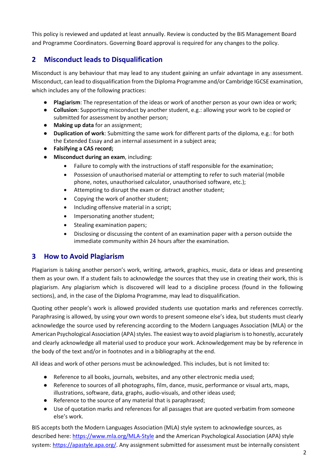This policy is reviewed and updated at least annually. Review is conducted by the BIS Management Board and Programme Coordinators. Governing Board approval is required for any changes to the policy.

## <span id="page-4-0"></span>**2 Misconduct leads to Disqualification**

Misconduct is any behaviour that may lead to any student gaining an unfair advantage in any assessment. Misconduct, can lead to disqualification from the Diploma Programme and/or Cambridge IGCSE examination, which includes any of the following practices:

- **Plagiarism**: The representation of the ideas or work of another person as your own idea or work;
- **Collusion**: Supporting misconduct by another student, e.g.: allowing your work to be copied or submitted for assessment by another person;
- **Making up data** for an assignment;
- **Duplication of work**: Submitting the same work for different parts of the diploma, e.g.: for both the Extended Essay and an internal assessment in a subject area;
- **Falsifying a CAS record;**
- **Misconduct during an exam**, including:
	- Failure to comply with the instructions of staff responsible for the examination;
	- Possession of unauthorised material or attempting to refer to such material (mobile phone, notes, unauthorised calculator, unauthorised software, etc.);
	- Attempting to disrupt the exam or distract another student;
	- Copying the work of another student;
	- Including offensive material in a script;
	- Impersonating another student;
	- Stealing examination papers;
	- Disclosing or discussing the content of an examination paper with a person outside the immediate community within 24 hours after the examination.

## <span id="page-4-1"></span>**3 How to Avoid Plagiarism**

Plagiarism is taking another person's work, writing, artwork, graphics, music, data or ideas and presenting them as your own. If a student fails to acknowledge the sources that they use in creating their work, this is plagiarism. Any plagiarism which is discovered will lead to a discipline process (found in the following sections), and, in the case of the Diploma Programme, may lead to disqualification.

Quoting other people's work is allowed provided students use quotation marks and references correctly. Paraphrasing is allowed, by using your own words to present someone else's idea, but students must clearly acknowledge the source used by referencing according to the Modern Languages Association (MLA) or the American Psychological Association (APA) styles. The easiest way to avoid plagiarism is to honestly, accurately and clearly acknowledge all material used to produce your work. Acknowledgement may be by reference in the body of the text and/or in footnotes and in a bibliography at the end.

All ideas and work of other persons must be acknowledged. This includes, but is not limited to:

- Reference to all books, journals, websites, and any other electronic media used;
- Reference to sources of all photographs, film, dance, music, performance or visual arts, maps, illustrations, software, data, graphs, audio-visuals, and other ideas used;
- Reference to the source of any material that is paraphrased;
- Use of quotation marks and references for all passages that are quoted verbatim from someone else's work.

BIS accepts both the Modern Languages Association (MLA) style system to acknowledge sources, as described here[: https://www.mla.org/MLA-Style](https://www.mla.org/MLA-Style) and the American Psychological Association (APA) style system[: https://apastyle.apa.org/. A](https://apastyle.apa.org/)ny assignment submitted for assessment must be internally consistent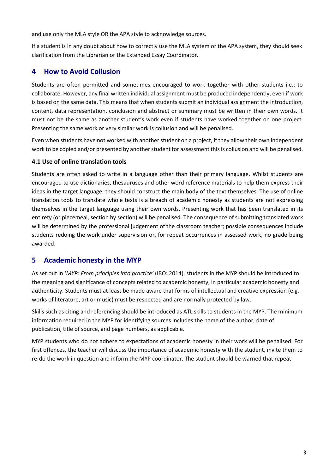and use only the MLA style OR the APA style to acknowledge sources.

If a student is in any doubt about how to correctly use the MLA system or the APA system, they should seek clarification from the Librarian or the Extended Essay Coordinator.

## <span id="page-5-0"></span>**4 How to Avoid Collusion**

Students are often permitted and sometimes encouraged to work together with other students i.e.: to collaborate. However, any final written individual assignment must be produced independently, even if work is based on the same data. This means that when students submit an individual assignment the introduction, content, data representation, conclusion and abstract or summary must be written in their own words. It must not be the same as another student's work even if students have worked together on one project. Presenting the same work or very similar work is collusion and will be penalised.

Even when students have not worked with another student on a project, if they allow their own independent work to be copied and/or presented by another student for assessment this is collusion and will be penalised.

#### **4.1 Use of online translation tools**

Students are often asked to write in a language other than their primary language. Whilst students are encouraged to use dictionaries, thesauruses and other word reference materials to help them express their ideas in the target language, they should construct the main body of the text themselves. The use of online translation tools to translate whole texts is a breach of academic honesty as students are not expressing themselves in the target language using their own words. Presenting work that has been translated in its entirety (or piecemeal, section by section) will be penalised. The consequence of submitting translated work will be determined by the professional judgement of the classroom teacher; possible consequences include students redoing the work under supervision or, for repeat occurrences in assessed work, no grade being awarded.

## <span id="page-5-1"></span>**5 Academic honesty in the MYP**

As set out in '*MYP: From principles into practice'* (IBO: 2014), students in the MYP should be introduced to the meaning and significance of concepts related to academic honesty, in particular academic honesty and authenticity. Students must at least be made aware that forms of intellectual and creative expression (e.g. works of literature, art or music) must be respected and are normally protected by law.

Skills such as citing and referencing should be introduced as ATL skills to students in the MYP. The minimum information required in the MYP for identifying sources includes the name of the author, date of publication, title of source, and page numbers, as applicable.

MYP students who do not adhere to expectations of academic honesty in their work will be penalised. For first offences, the teacher will discuss the importance of academic honesty with the student, invite them to re-do the work in question and inform the MYP coordinator. The student should be warned that repeat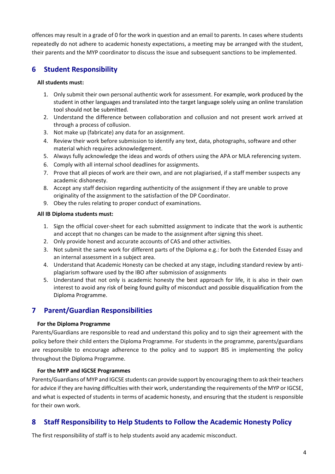offences may result in a grade of 0 for the work in question and an email to parents. In cases where students repeatedly do not adhere to academic honesty expectations, a meeting may be arranged with the student, their parents and the MYP coordinator to discuss the issue and subsequent sanctions to be implemented.

## <span id="page-6-0"></span>**6 Student Responsibility**

#### **All students must:**

- 1. Only submit their own personal authentic work for assessment. For example, work produced by the student in other languages and translated into the target language solely using an online translation tool should not be submitted.
- 2. Understand the difference between collaboration and collusion and not present work arrived at through a process of collusion.
- 3. Not make up (fabricate) any data for an assignment.
- 4. Review their work before submission to identify any text, data, photographs, software and other material which requires acknowledgement.
- 5. Always fully acknowledge the ideas and words of others using the APA or MLA referencing system.
- 6. Comply with all internal school deadlines for assignments.
- 7. Prove that all pieces of work are their own, and are not plagiarised, if a staff member suspects any academic dishonesty.
- 8. Accept any staff decision regarding authenticity of the assignment if they are unable to prove originality of the assignment to the satisfaction of the DP Coordinator.
- 9. Obey the rules relating to proper conduct of examinations.

#### **All IB Diploma students must:**

- 1. Sign the official cover-sheet for each submitted assignment to indicate that the work is authentic and accept that no changes can be made to the assignment after signing this sheet.
- 2. Only provide honest and accurate accounts of CAS and other activities.
- 3. Not submit the same work for different parts of the Diploma e.g.: for both the Extended Essay and an internal assessment in a subject area.
- 4. Understand that Academic Honesty can be checked at any stage, including standard review by antiplagiarism software used by the IBO after submission of assignments
- 5. Understand that not only is academic honesty the best approach for life, it is also in their own interest to avoid any risk of being found guilty of misconduct and possible disqualification from the Diploma Programme.

## <span id="page-6-1"></span>**7 Parent/Guardian Responsibilities**

#### **For the Diploma Programme**

Parents/Guardians are responsible to read and understand this policy and to sign their agreement with the policy before their child enters the Diploma Programme. For students in the programme, parents/guardians are responsible to encourage adherence to the policy and to support BIS in implementing the policy throughout the Diploma Programme.

#### **For the MYP and IGCSE Programmes**

Parents/Guardians of MYP and IGCSE students can provide support by encouraging them to ask their teachers for advice if they are having difficulties with their work, understanding the requirements of the MYP or IGCSE, and what is expected of students in terms of academic honesty, and ensuring that the student is responsible for their own work.

## <span id="page-6-2"></span>**8 Staff Responsibility to Help Students to Follow the Academic Honesty Policy**

The first responsibility of staff is to help students avoid any academic misconduct.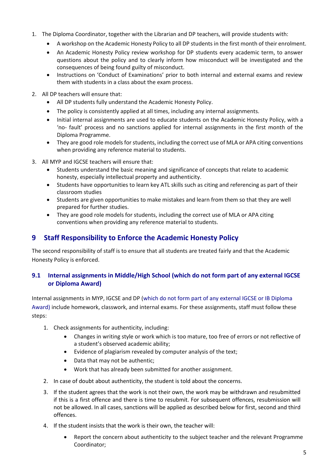- 1. The Diploma Coordinator, together with the Librarian and DP teachers, will provide students with:
	- A workshop on the Academic Honesty Policy to all DP students in the first month of their enrolment.
	- An Academic Honesty Policy review workshop for DP students every academic term, to answer questions about the policy and to clearly inform how misconduct will be investigated and the consequences of being found guilty of misconduct.
	- Instructions on 'Conduct of Examinations' prior to both internal and external exams and review them with students in a class about the exam process.
- 2. All DP teachers will ensure that:
	- All DP students fully understand the Academic Honesty Policy.
	- The policy is consistently applied at all times, including any internal assignments.
	- Initial internal assignments are used to educate students on the Academic Honesty Policy, with a 'no- fault' process and no sanctions applied for internal assignments in the first month of the Diploma Programme.
	- They are good role models for students, including the correct use of MLA or APA citing conventions when providing any reference material to students.
- 3. All MYP and IGCSE teachers will ensure that:
	- Students understand the basic meaning and significance of concepts that relate to academic honesty, especially intellectual property and authenticity.
	- Students have opportunities to learn key ATL skills such as citing and referencing as part of their classroom studies
	- Students are given opportunities to make mistakes and learn from them so that they are well prepared for further studies.
	- They are good role models for students, including the correct use of MLA or APA citing conventions when providing any reference material to students.

## <span id="page-7-0"></span>**9 Staff Responsibility to Enforce the Academic Honesty Policy**

The second responsibility of staff is to ensure that all students are treated fairly and that the Academic Honesty Policy is enforced.

#### **9.1 Internal assignments in Middle/High School (which do not form part of any external IGCSE or Diploma Award)**

Internal assignments in MYP, IGCSE and DP (which do not form part of any external IGCSE or IB Diploma Award) include homework, classwork, and internal exams. For these assignments, staff must follow these steps:

- 1. Check assignments for authenticity, including:
	- Changes in writing style or work which is too mature, too free of errors or not reflective of a student's observed academic ability;
	- Evidence of plagiarism revealed by computer analysis of the text;
	- Data that may not be authentic;
	- Work that has already been submitted for another assignment.
- 2. In case of doubt about authenticity, the student is told about the concerns.
- 3. If the student agrees that the work is not their own, the work may be withdrawn and resubmitted if this is a first offence and there is time to resubmit. For subsequent offences, resubmission will not be allowed. In all cases, sanctions will be applied as described below for first, second and third offences.
- 4. If the student insists that the work is their own, the teacher will:
	- Report the concern about authenticity to the subject teacher and the relevant Programme Coordinator;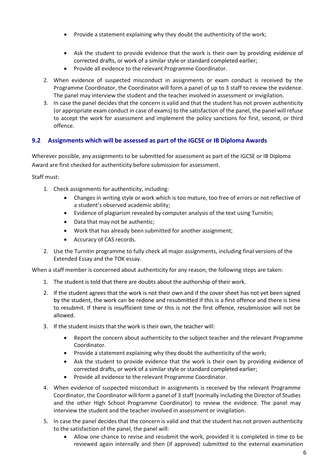- Provide a statement explaining why they doubt the authenticity of the work;
- Ask the student to provide evidence that the work is their own by providing evidence of corrected drafts, or work of a similar style or standard completed earlier;
- Provide all evidence to the relevant Programme Coordinator.
- 2. When evidence of suspected misconduct in assignments or exam conduct is received by the Programme Coordinator, the Coordinator will form a panel of up to 3 staff to review the evidence. The panel may interview the student and the teacher involved in assessment or invigilation.
- 3. In case the panel decides that the concern is valid and that the student has not proven authenticity (or appropriate exam conduct in case of exams) to the satisfaction of the panel, the panel will refuse to accept the work for assessment and implement the policy sanctions for first, second, or third offence.

#### **9.2 Assignments which will be assessed as part of the IGCSE or IB Diploma Awards**

Wherever possible, any assignments to be submitted for assessment as part of the IGCSE or IB Diploma Award are first checked for authenticity before submission for assessment.

Staff must:

- 1. Check assignments for authenticity, including:
	- Changes in writing style or work which is too mature, too free of errors or not reflective of a student's observed academic ability;
	- Evidence of plagiarism revealed by computer analysis of the text using Turnitin;
	- Data that may not be authentic;
	- Work that has already been submitted for another assignment;
	- Accuracy of CAS records.
- 2. Use the Turnitin programme to fully check all major assignments, including final versions of the Extended Essay and the TOK essay.

When a staff member is concerned about authenticity for any reason, the following steps are taken:

- 1. The student is told that there are doubts about the authorship of their work.
- 2. If the student agrees that the work is not their own and if the cover sheet has not yet been signed by the student, the work can be redone and resubmitted if this is a first offence and there is time to resubmit. If there is insufficient time or this is not the first offence, resubmission will not be allowed.
- 3. If the student insists that the work is their own, the teacher will:
	- Report the concern about authenticity to the subject teacher and the relevant Programme Coordinator.
	- Provide a statement explaining why they doubt the authenticity of the work;
	- Ask the student to provide evidence that the work is their own by providing evidence of corrected drafts, or work of a similar style or standard completed earlier;
	- Provide all evidence to the relevant Programme Coordinator.
- 4. When evidence of suspected misconduct in assignments is received by the relevant Programme Coordinator, the Coordinator will form a panel of 3 staff (normally including the Director of Studies and the other High School Programme Coordinator) to review the evidence. The panel may interview the student and the teacher involved in assessment or invigilation.
- 5. In case the panel decides that the concern is valid and that the student has not proven authenticity to the satisfaction of the panel, the panel will:
	- Allow one chance to revise and resubmit the work, provided it is completed in time to be reviewed again internally and then (if approved) submitted to the external examination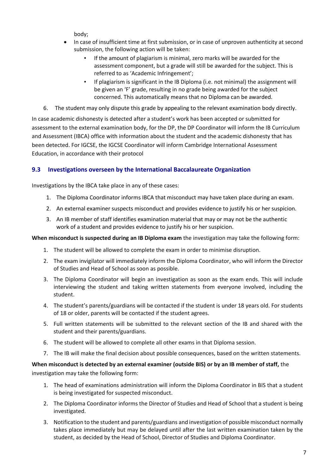body;

- In case of insufficient time at first submission, or in case of unproven authenticity at second submission, the following action will be taken:
	- If the amount of plagiarism is minimal, zero marks will be awarded for the assessment component, but a grade will still be awarded for the subject. This is referred to as 'Academic Infringement';
	- If plagiarism is significant in the IB Diploma (i.e. not minimal) the assignment will be given an 'F' grade, resulting in no grade being awarded for the subject concerned. This automatically means that no Diploma can be awarded.
- 6. The student may only dispute this grade by appealing to the relevant examination body directly.

In case academic dishonesty is detected after a student's work has been accepted or submitted for assessment to the external examination body, for the DP, the DP Coordinator will inform the IB Curriculum and Assessment (IBCA) office with information about the student and the academic dishonesty that has been detected. For IGCSE, the IGCSE Coordinator will inform Cambridge International Assessment Education, in accordance with their protocol

#### **9.3 Investigations overseen by the International Baccalaureate Organization**

Investigations by the IBCA take place in any of these cases:

- 1. The Diploma Coordinator informs IBCA that misconduct may have taken place during an exam.
- 2. An external examiner suspects misconduct and provides evidence to justify his or her suspicion.
- 3. An IB member of staff identifies examination material that may or may not be the authentic work of a student and provides evidence to justify his or her suspicion.

**When misconduct is suspected during an IB Diploma exam** the investigation may take the following form:

- 1. The student will be allowed to complete the exam in order to minimise disruption.
- 2. The exam invigilator will immediately inform the Diploma Coordinator, who will inform the Director of Studies and Head of School as soon as possible.
- 3. The Diploma Coordinator will begin an investigation as soon as the exam ends. This will include interviewing the student and taking written statements from everyone involved, including the student.
- 4. The student's parents/guardians will be contacted if the student is under 18 years old. For students of 18 or older, parents will be contacted if the student agrees.
- 5. Full written statements will be submitted to the relevant section of the IB and shared with the student and their parents/guardians.
- 6. The student will be allowed to complete all other exams in that Diploma session.
- 7. The IB will make the final decision about possible consequences, based on the written statements.

#### **When misconduct is detected by an external examiner (outside BIS) or by an IB member of staff,** the investigation may take the following form:

- 1. The head of examinations administration will inform the Diploma Coordinator in BIS that a student is being investigated for suspected misconduct.
- 2. The Diploma Coordinator informs the Director of Studies and Head of School that a student is being investigated.
- 3. Notification to the student and parents/guardians and investigation of possible misconduct normally takes place immediately but may be delayed until after the last written examination taken by the student, as decided by the Head of School, Director of Studies and Diploma Coordinator.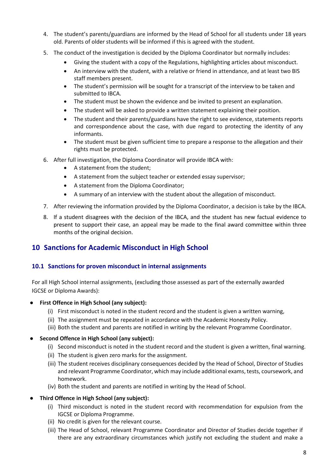- 4. The student's parents/guardians are informed by the Head of School for all students under 18 years old. Parents of older students will be informed if this is agreed with the student.
- 5. The conduct of the investigation is decided by the Diploma Coordinator but normally includes:
	- Giving the student with a copy of the Regulations, highlighting articles about misconduct.
	- An interview with the student, with a relative or friend in attendance, and at least two BIS staff members present.
	- The student's permission will be sought for a transcript of the interview to be taken and submitted to IBCA.
	- The student must be shown the evidence and be invited to present an explanation.
	- The student will be asked to provide a written statement explaining their position.
	- The student and their parents/guardians have the right to see evidence, statements reports and correspondence about the case, with due regard to protecting the identity of any informants.
	- The student must be given sufficient time to prepare a response to the allegation and their rights must be protected.
- 6. After full investigation, the Diploma Coordinator will provide IBCA with:
	- A statement from the student;
	- A statement from the subject teacher or extended essay supervisor;
	- A statement from the Diploma Coordinator;
	- A summary of an interview with the student about the allegation of misconduct.
- 7. After reviewing the information provided by the Diploma Coordinator, a decision is take by the IBCA.
- 8. If a student disagrees with the decision of the IBCA, and the student has new factual evidence to present to support their case, an appeal may be made to the final award committee within three months of the original decision.

## <span id="page-10-0"></span>**10 Sanctions for Academic Misconduct in High School**

#### **10.1 Sanctions for proven misconduct in internal assignments**

For all High School internal assignments, (excluding those assessed as part of the externally awarded IGCSE or Diploma Awards):

#### **First Offence in High School (any subject):**

- (i) First misconduct is noted in the student record and the student is given a written warning,
- (ii) The assignment must be repeated in accordance with the Academic Honesty Policy.
- (iii) Both the student and parents are notified in writing by the relevant Programme Coordinator.

#### **Second Offence in High School (any subject):**

- (i) Second misconduct is noted in the student record and the student is given a written, final warning.
- (ii) The student is given zero marks for the assignment.
- (iii) The student receives disciplinary consequences decided by the Head of School, Director of Studies and relevant Programme Coordinator, which may include additional exams, tests, coursework, and homework.
- (iv) Both the student and parents are notified in writing by the Head of School.

#### **Third Offence in High School (any subject):**

- (i) Third misconduct is noted in the student record with recommendation for expulsion from the IGCSE or Diploma Programme.
- (ii) No credit is given for the relevant course.
- (iii) The Head of School, relevant Programme Coordinator and Director of Studies decide together if there are any extraordinary circumstances which justify not excluding the student and make a